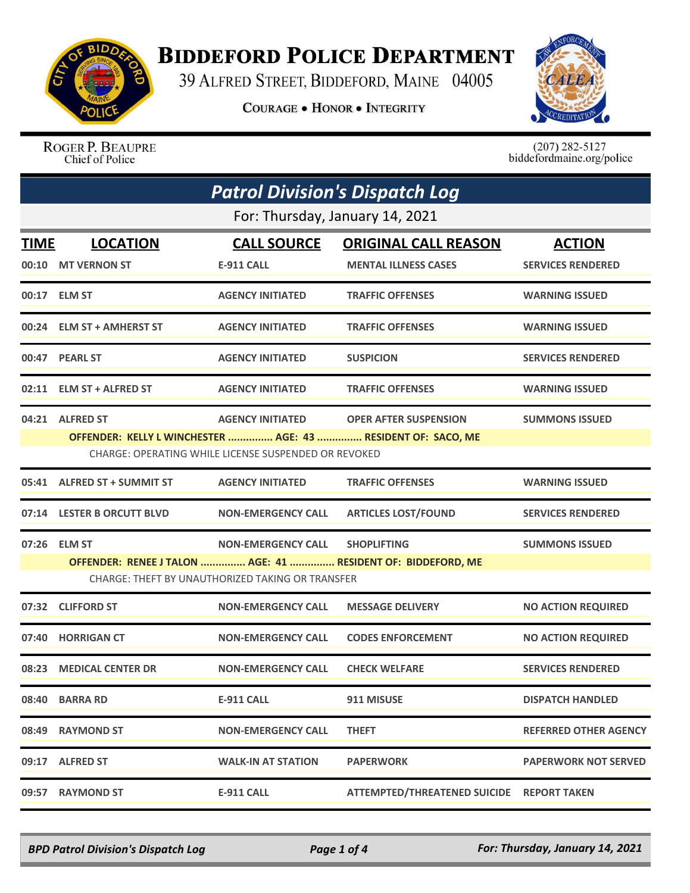

## **BIDDEFORD POLICE DEPARTMENT**

39 ALFRED STREET, BIDDEFORD, MAINE 04005

**COURAGE . HONOR . INTEGRITY** 



ROGER P. BEAUPRE Chief of Police

 $(207)$  282-5127<br>biddefordmaine.org/police

| <b>Patrol Division's Dispatch Log</b> |                                 |                                                      |                                                              |                              |  |
|---------------------------------------|---------------------------------|------------------------------------------------------|--------------------------------------------------------------|------------------------------|--|
|                                       | For: Thursday, January 14, 2021 |                                                      |                                                              |                              |  |
| TIME                                  | <b>LOCATION</b>                 | <b>CALL SOURCE</b>                                   | <b>ORIGINAL CALL REASON</b>                                  | <b>ACTION</b>                |  |
| 00:10                                 | <b>MT VERNON ST</b>             | <b>E-911 CALL</b>                                    | <b>MENTAL ILLNESS CASES</b>                                  | <b>SERVICES RENDERED</b>     |  |
|                                       | 00:17 ELM ST                    | <b>AGENCY INITIATED</b>                              | <b>TRAFFIC OFFENSES</b>                                      | <b>WARNING ISSUED</b>        |  |
| 00:24                                 | <b>ELM ST + AMHERST ST</b>      | <b>AGENCY INITIATED</b>                              | <b>TRAFFIC OFFENSES</b>                                      | <b>WARNING ISSUED</b>        |  |
|                                       | 00:47 PEARL ST                  | <b>AGENCY INITIATED</b>                              | <b>SUSPICION</b>                                             | <b>SERVICES RENDERED</b>     |  |
|                                       | 02:11 ELM ST + ALFRED ST        | <b>AGENCY INITIATED</b>                              | <b>TRAFFIC OFFENSES</b>                                      | <b>WARNING ISSUED</b>        |  |
|                                       | 04:21 ALFRED ST                 | <b>AGENCY INITIATED</b>                              | <b>OPER AFTER SUSPENSION</b>                                 | <b>SUMMONS ISSUED</b>        |  |
|                                       |                                 |                                                      | OFFENDER: KELLY L WINCHESTER  AGE: 43  RESIDENT OF: SACO, ME |                              |  |
|                                       |                                 | CHARGE: OPERATING WHILE LICENSE SUSPENDED OR REVOKED |                                                              |                              |  |
| 05:41                                 | <b>ALFRED ST + SUMMIT ST</b>    | <b>AGENCY INITIATED</b>                              | <b>TRAFFIC OFFENSES</b>                                      | <b>WARNING ISSUED</b>        |  |
| 07:14                                 | <b>LESTER B ORCUTT BLVD</b>     | <b>NON-EMERGENCY CALL</b>                            | <b>ARTICLES LOST/FOUND</b>                                   | <b>SERVICES RENDERED</b>     |  |
| 07:26                                 | <b>ELM ST</b>                   | <b>NON-EMERGENCY CALL</b>                            | <b>SHOPLIFTING</b>                                           | <b>SUMMONS ISSUED</b>        |  |
|                                       |                                 |                                                      | OFFENDER: RENEE J TALON  AGE: 41  RESIDENT OF: BIDDEFORD, ME |                              |  |
|                                       |                                 | CHARGE: THEFT BY UNAUTHORIZED TAKING OR TRANSFER     |                                                              |                              |  |
| 07:32                                 | <b>CLIFFORD ST</b>              | <b>NON-EMERGENCY CALL</b>                            | <b>MESSAGE DELIVERY</b>                                      | <b>NO ACTION REQUIRED</b>    |  |
| 07:40                                 | <b>HORRIGAN CT</b>              | <b>NON-EMERGENCY CALL</b>                            | <b>CODES ENFORCEMENT</b>                                     | <b>NO ACTION REQUIRED</b>    |  |
|                                       | 08:23 MEDICAL CENTER DR         | <b>NON-EMERGENCY CALL</b>                            | <b>CHECK WELFARE</b>                                         | <b>SERVICES RENDERED</b>     |  |
| 08:40                                 | <b>BARRA RD</b>                 | <b>E-911 CALL</b>                                    | 911 MISUSE                                                   | <b>DISPATCH HANDLED</b>      |  |
| 08:49                                 | <b>RAYMOND ST</b>               | <b>NON-EMERGENCY CALL</b>                            | <b>THEFT</b>                                                 | <b>REFERRED OTHER AGENCY</b> |  |
| 09:17                                 | <b>ALFRED ST</b>                | <b>WALK-IN AT STATION</b>                            | <b>PAPERWORK</b>                                             | <b>PAPERWORK NOT SERVED</b>  |  |
| 09:57                                 | <b>RAYMOND ST</b>               | <b>E-911 CALL</b>                                    | ATTEMPTED/THREATENED SUICIDE REPORT TAKEN                    |                              |  |

*BPD Patrol Division's Dispatch Log Page 1 of 4 For: Thursday, January 14, 2021*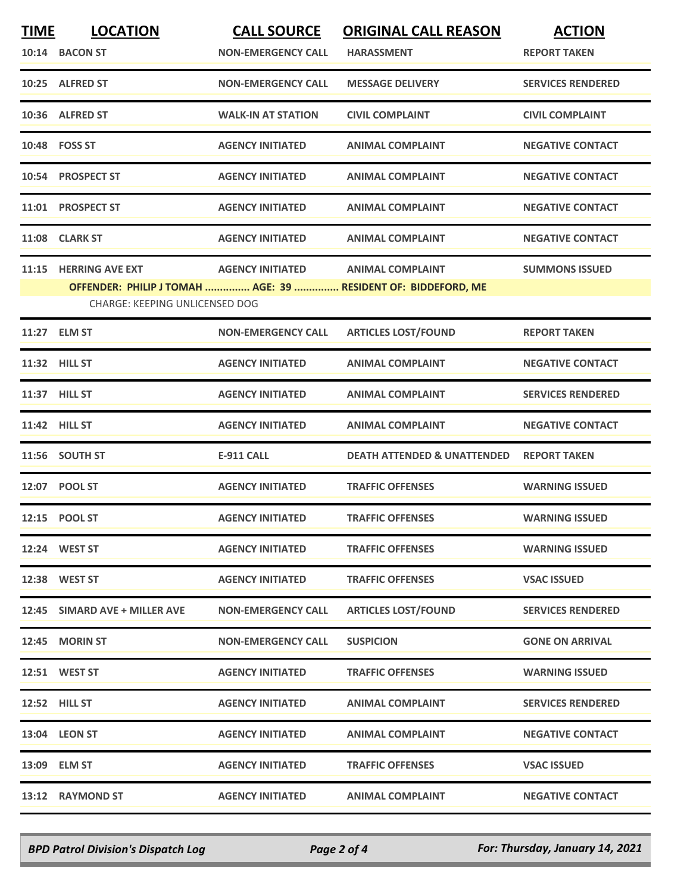| <b>TIME</b> | <b>LOCATION</b>                       | <b>CALL SOURCE</b>        | <b>ORIGINAL CALL REASON</b>                                   | <b>ACTION</b>            |
|-------------|---------------------------------------|---------------------------|---------------------------------------------------------------|--------------------------|
|             | 10:14 BACON ST                        | <b>NON-EMERGENCY CALL</b> | <b>HARASSMENT</b>                                             | <b>REPORT TAKEN</b>      |
|             | 10:25 ALFRED ST                       | <b>NON-EMERGENCY CALL</b> | <b>MESSAGE DELIVERY</b>                                       | <b>SERVICES RENDERED</b> |
|             | 10:36 ALFRED ST                       | <b>WALK-IN AT STATION</b> | <b>CIVIL COMPLAINT</b>                                        | <b>CIVIL COMPLAINT</b>   |
|             | 10:48 FOSS ST                         | <b>AGENCY INITIATED</b>   | <b>ANIMAL COMPLAINT</b>                                       | <b>NEGATIVE CONTACT</b>  |
|             | 10:54 PROSPECT ST                     | <b>AGENCY INITIATED</b>   | <b>ANIMAL COMPLAINT</b>                                       | <b>NEGATIVE CONTACT</b>  |
|             | 11:01 PROSPECT ST                     | <b>AGENCY INITIATED</b>   | <b>ANIMAL COMPLAINT</b>                                       | <b>NEGATIVE CONTACT</b>  |
|             | 11:08 CLARK ST                        | <b>AGENCY INITIATED</b>   | <b>ANIMAL COMPLAINT</b>                                       | <b>NEGATIVE CONTACT</b>  |
| 11:15       | <b>HERRING AVE EXT</b>                | <b>AGENCY INITIATED</b>   | <b>ANIMAL COMPLAINT</b>                                       | <b>SUMMONS ISSUED</b>    |
|             |                                       |                           | OFFENDER: PHILIP J TOMAH  AGE: 39  RESIDENT OF: BIDDEFORD, ME |                          |
|             | <b>CHARGE: KEEPING UNLICENSED DOG</b> |                           |                                                               |                          |
|             | 11:27 ELM ST                          | <b>NON-EMERGENCY CALL</b> | <b>ARTICLES LOST/FOUND</b>                                    | <b>REPORT TAKEN</b>      |
|             | 11:32 HILL ST                         | <b>AGENCY INITIATED</b>   | <b>ANIMAL COMPLAINT</b>                                       | <b>NEGATIVE CONTACT</b>  |
|             | 11:37 HILL ST                         | <b>AGENCY INITIATED</b>   | <b>ANIMAL COMPLAINT</b>                                       | <b>SERVICES RENDERED</b> |
|             | 11:42 HILL ST                         | <b>AGENCY INITIATED</b>   | <b>ANIMAL COMPLAINT</b>                                       | <b>NEGATIVE CONTACT</b>  |
|             | 11:56 SOUTH ST                        | <b>E-911 CALL</b>         | <b>DEATH ATTENDED &amp; UNATTENDED</b>                        | <b>REPORT TAKEN</b>      |
|             | 12:07 POOL ST                         | <b>AGENCY INITIATED</b>   | <b>TRAFFIC OFFENSES</b>                                       | <b>WARNING ISSUED</b>    |
|             | 12:15 POOL ST                         | <b>AGENCY INITIATED</b>   | <b>TRAFFIC OFFENSES</b>                                       | <b>WARNING ISSUED</b>    |
|             | 12:24 WEST ST                         | <b>AGENCY INITIATED</b>   | <b>TRAFFIC OFFENSES</b>                                       | <b>WARNING ISSUED</b>    |
|             | 12:38 WEST ST                         | <b>AGENCY INITIATED</b>   | <b>TRAFFIC OFFENSES</b>                                       | <b>VSAC ISSUED</b>       |
|             | 12:45 SIMARD AVE + MILLER AVE         | <b>NON-EMERGENCY CALL</b> | <b>ARTICLES LOST/FOUND</b>                                    | <b>SERVICES RENDERED</b> |
|             | 12:45 MORIN ST                        | <b>NON-EMERGENCY CALL</b> | <b>SUSPICION</b>                                              | <b>GONE ON ARRIVAL</b>   |
|             | 12:51 WEST ST                         | <b>AGENCY INITIATED</b>   | <b>TRAFFIC OFFENSES</b>                                       | <b>WARNING ISSUED</b>    |
|             | 12:52 HILL ST                         | <b>AGENCY INITIATED</b>   | <b>ANIMAL COMPLAINT</b>                                       | <b>SERVICES RENDERED</b> |
|             | 13:04 LEON ST                         | <b>AGENCY INITIATED</b>   | <b>ANIMAL COMPLAINT</b>                                       | <b>NEGATIVE CONTACT</b>  |
|             | 13:09 ELM ST                          | <b>AGENCY INITIATED</b>   | <b>TRAFFIC OFFENSES</b>                                       | <b>VSAC ISSUED</b>       |
|             | 13:12 RAYMOND ST                      | <b>AGENCY INITIATED</b>   | <b>ANIMAL COMPLAINT</b>                                       | <b>NEGATIVE CONTACT</b>  |
|             |                                       |                           |                                                               |                          |

*BPD Patrol Division's Dispatch Log Page 2 of 4 For: Thursday, January 14, 2021*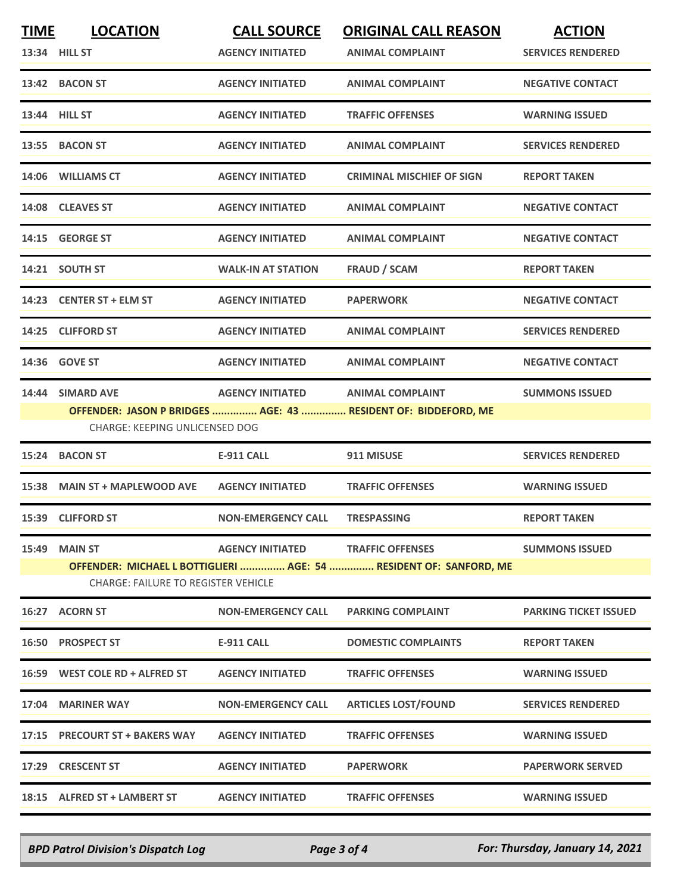| <b>TIME</b>   | <b>LOCATION</b>                            | <b>CALL SOURCE</b>                | <b>ORIGINAL CALL REASON</b>                                                               | <b>ACTION</b>                |
|---------------|--------------------------------------------|-----------------------------------|-------------------------------------------------------------------------------------------|------------------------------|
| 13:34 HILL ST |                                            | <b>AGENCY INITIATED</b>           | <b>ANIMAL COMPLAINT</b>                                                                   | <b>SERVICES RENDERED</b>     |
|               | 13:42 BACON ST                             | <b>AGENCY INITIATED</b>           | <b>ANIMAL COMPLAINT</b>                                                                   | <b>NEGATIVE CONTACT</b>      |
| 13:44 HILL ST |                                            | <b>AGENCY INITIATED</b>           | <b>TRAFFIC OFFENSES</b>                                                                   | <b>WARNING ISSUED</b>        |
|               | 13:55 BACON ST                             | <b>AGENCY INITIATED</b>           | <b>ANIMAL COMPLAINT</b>                                                                   | <b>SERVICES RENDERED</b>     |
|               | 14:06 WILLIAMS CT                          | <b>AGENCY INITIATED</b>           | <b>CRIMINAL MISCHIEF OF SIGN</b>                                                          | <b>REPORT TAKEN</b>          |
|               | 14:08 CLEAVES ST                           | <b>AGENCY INITIATED</b>           | <b>ANIMAL COMPLAINT</b>                                                                   | <b>NEGATIVE CONTACT</b>      |
| 14:15         | <b>GEORGE ST</b>                           | <b>AGENCY INITIATED</b>           | <b>ANIMAL COMPLAINT</b>                                                                   | <b>NEGATIVE CONTACT</b>      |
|               | 14:21 SOUTH ST                             | <b>WALK-IN AT STATION</b>         | <b>FRAUD / SCAM</b>                                                                       | <b>REPORT TAKEN</b>          |
|               | 14:23 CENTER ST + ELM ST                   | <b>AGENCY INITIATED</b>           | <b>PAPERWORK</b>                                                                          | <b>NEGATIVE CONTACT</b>      |
| 14:25         | <b>CLIFFORD ST</b>                         | <b>AGENCY INITIATED</b>           | <b>ANIMAL COMPLAINT</b>                                                                   | <b>SERVICES RENDERED</b>     |
|               | 14:36 GOVE ST                              | <b>AGENCY INITIATED</b>           | <b>ANIMAL COMPLAINT</b>                                                                   | <b>NEGATIVE CONTACT</b>      |
|               | 14:44 SIMARD AVE                           | <b>AGENCY INITIATED</b>           | <b>ANIMAL COMPLAINT</b><br>OFFENDER: JASON P BRIDGES  AGE: 43  RESIDENT OF: BIDDEFORD, ME | <b>SUMMONS ISSUED</b>        |
|               | <b>CHARGE: KEEPING UNLICENSED DOG</b>      |                                   |                                                                                           |                              |
| 15:24         | <b>BACON ST</b>                            | <b>E-911 CALL</b>                 | 911 MISUSE                                                                                | <b>SERVICES RENDERED</b>     |
|               | 15:38 MAIN ST + MAPLEWOOD AVE              | <b>AGENCY INITIATED</b>           | <b>TRAFFIC OFFENSES</b>                                                                   | <b>WARNING ISSUED</b>        |
|               | 15:39 CLIFFORD ST                          | <b>NON-EMERGENCY CALL</b>         | <b>TRESPASSING</b>                                                                        | <b>REPORT TAKEN</b>          |
| 15:49         | <b>MAIN ST</b>                             | AGENCY INITIATED TRAFFIC OFFENSES |                                                                                           | <b>SUMMONS ISSUED</b>        |
|               | <b>CHARGE: FAILURE TO REGISTER VEHICLE</b> |                                   | OFFENDER: MICHAEL L BOTTIGLIERI  AGE: 54  RESIDENT OF: SANFORD, ME                        |                              |
|               | 16:27 ACORN ST                             | <b>NON-EMERGENCY CALL</b>         | <b>PARKING COMPLAINT</b>                                                                  | <b>PARKING TICKET ISSUED</b> |
|               | 16:50 PROSPECT ST                          | <b>E-911 CALL</b>                 | <b>DOMESTIC COMPLAINTS</b>                                                                | <b>REPORT TAKEN</b>          |
|               | 16:59 WEST COLE RD + ALFRED ST             | <b>AGENCY INITIATED</b>           | <b>TRAFFIC OFFENSES</b>                                                                   | <b>WARNING ISSUED</b>        |
|               | 17:04 MARINER WAY                          | <b>NON-EMERGENCY CALL</b>         | <b>ARTICLES LOST/FOUND</b>                                                                | <b>SERVICES RENDERED</b>     |
|               | 17:15 PRECOURT ST + BAKERS WAY             | <b>AGENCY INITIATED</b>           | <b>TRAFFIC OFFENSES</b>                                                                   | <b>WARNING ISSUED</b>        |
| 17:29         | <b>CRESCENT ST</b>                         | <b>AGENCY INITIATED</b>           | <b>PAPERWORK</b>                                                                          | <b>PAPERWORK SERVED</b>      |
|               | 18:15 ALFRED ST + LAMBERT ST               | <b>AGENCY INITIATED</b>           | <b>TRAFFIC OFFENSES</b>                                                                   | <b>WARNING ISSUED</b>        |

*BPD Patrol Division's Dispatch Log Page 3 of 4 For: Thursday, January 14, 2021*